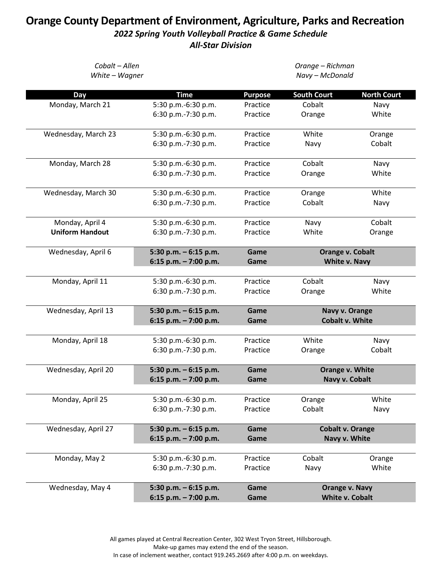## **Orange County Department of Environment, Agriculture, Parks and Recreation** *2022 Spring Youth Volleyball Practice & Game Schedule All-Star Division*

| Cobalt - Allen<br>White - Wagner |                        | Orange - Richman<br>Navy - McDonald |                         |                       |  |
|----------------------------------|------------------------|-------------------------------------|-------------------------|-----------------------|--|
| Day                              | <b>Time</b>            | <b>Purpose</b>                      | <b>South Court</b>      | <b>North Court</b>    |  |
| Monday, March 21                 | 5:30 p.m.-6:30 p.m.    | Practice                            | Cobalt                  | Navy                  |  |
|                                  | 6:30 p.m.-7:30 p.m.    | Practice                            | Orange                  | White                 |  |
| Wednesday, March 23              | 5:30 p.m.-6:30 p.m.    | Practice                            | White                   | Orange                |  |
|                                  | 6:30 p.m.-7:30 p.m.    | Practice                            | Navy                    | Cobalt                |  |
| Monday, March 28                 | 5:30 p.m.-6:30 p.m.    | Practice                            | Cobalt                  | Navy                  |  |
|                                  | 6:30 p.m.-7:30 p.m.    | Practice                            | Orange                  | White                 |  |
| Wednesday, March 30              | 5:30 p.m.-6:30 p.m.    | Practice                            | Orange                  | White                 |  |
|                                  | 6:30 p.m.-7:30 p.m.    | Practice                            | Cobalt                  | Navy                  |  |
| Monday, April 4                  | 5:30 p.m.-6:30 p.m.    | Practice                            | Navy                    | Cobalt                |  |
| <b>Uniform Handout</b>           | 6:30 p.m.-7:30 p.m.    | Practice                            | White                   | Orange                |  |
| Wednesday, April 6               | 5:30 p.m. - 6:15 p.m.  | Game                                | Orange v. Cobalt        |                       |  |
|                                  | 6:15 p.m. $-7:00$ p.m. | Game                                | White v. Navy           |                       |  |
| Monday, April 11                 | 5:30 p.m.-6:30 p.m.    | Practice                            | Cobalt                  | Navy                  |  |
|                                  | 6:30 p.m.-7:30 p.m.    | Practice                            | Orange                  | White                 |  |
| Wednesday, April 13              | 5:30 p.m. - 6:15 p.m.  | Game                                | Navy v. Orange          |                       |  |
|                                  | 6:15 p.m. - 7:00 p.m.  | Game                                | <b>Cobalt v. White</b>  |                       |  |
| Monday, April 18                 | 5:30 p.m.-6:30 p.m.    | Practice                            | White                   | Navy                  |  |
|                                  | 6:30 p.m.-7:30 p.m.    | Practice                            | Orange                  | Cobalt                |  |
| Wednesday, April 20              | 5:30 p.m. $-6:15$ p.m. | Game                                | Orange v. White         |                       |  |
|                                  | 6:15 p.m. - 7:00 p.m.  | Game                                | Navy v. Cobalt          |                       |  |
| Monday, April 25                 | 5:30 p.m.-6:30 p.m.    | Practice                            | Orange                  | White                 |  |
|                                  | 6:30 p.m.-7:30 p.m.    | Practice                            | Cobalt                  | Navy                  |  |
| Wednesday, April 27              | 5:30 p.m. $-6:15$ p.m. | Game                                | <b>Cobalt v. Orange</b> |                       |  |
|                                  | 6:15 p.m. $-7:00$ p.m. | Game                                |                         | Navy v. White         |  |
| Monday, May 2                    | 5:30 p.m.-6:30 p.m.    | Practice                            | Cobalt                  | Orange                |  |
|                                  | 6:30 p.m.-7:30 p.m.    | Practice                            | Navy                    | White                 |  |
| Wednesday, May 4                 | 5:30 p.m. $-6:15$ p.m. | Game                                |                         | <b>Orange v. Navy</b> |  |
|                                  | 6:15 p.m. $-7:00$ p.m. | Game                                | <b>White v. Cobalt</b>  |                       |  |

All games played at Central Recreation Center, 302 West Tryon Street, Hillsborough. Make-up games may extend the end of the season. In case of inclement weather, contact 919.245.2669 after 4:00 p.m. on weekdays.